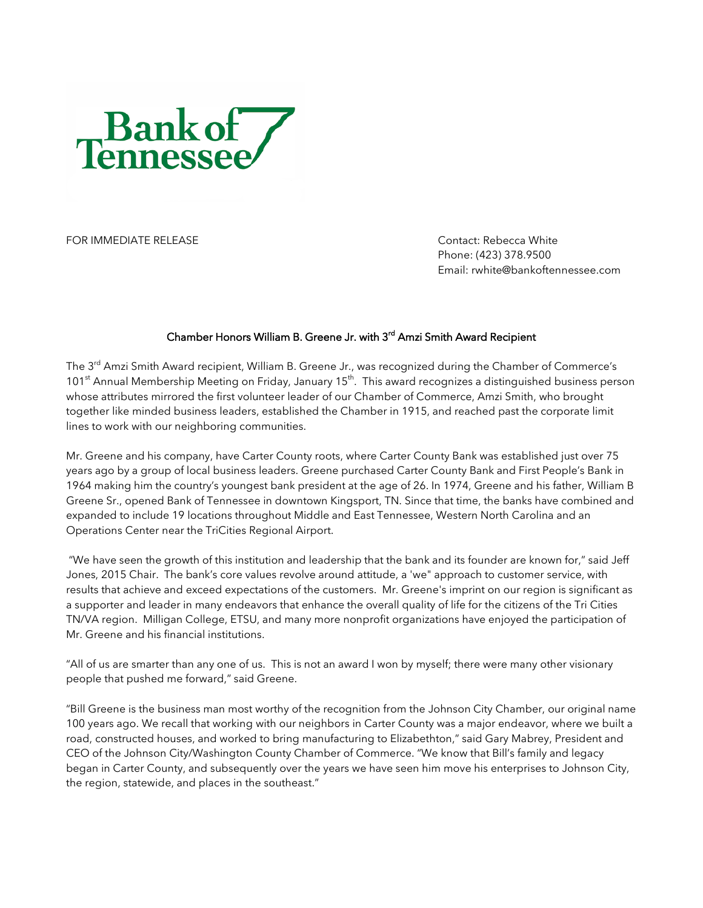

FOR IMMEDIATE RELEASE CONTACT CONTACT CONTACT: Rebecca White

Phone: (423) 378.9500 Email: rwhite@bankoftennessee.com

## Chamber Honors William B. Greene Jr. with 3<sup>rd</sup> Amzi Smith Award Recipient

The 3<sup>rd</sup> Amzi Smith Award recipient, William B. Greene Jr., was recognized during the Chamber of Commerce's 101<sup>st</sup> Annual Membership Meeting on Friday, January 15<sup>th</sup>. This award recognizes a distinguished business person whose attributes mirrored the first volunteer leader of our Chamber of Commerce, Amzi Smith, who brought together like minded business leaders, established the Chamber in 1915, and reached past the corporate limit lines to work with our neighboring communities.

Mr. Greene and his company, have Carter County roots, where Carter County Bank was established just over 75 years ago by a group of local business leaders. Greene purchased Carter County Bank and First People's Bank in 1964 making him the country's youngest bank president at the age of 26. In 1974, Greene and his father, William B Greene Sr., opened Bank of Tennessee in downtown Kingsport, TN. Since that time, the banks have combined and expanded to include 19 locations throughout Middle and East Tennessee, Western North Carolina and an Operations Center near the TriCities Regional Airport.

"We have seen the growth of this institution and leadership that the bank and its founder are known for," said Jeff Jones, 2015 Chair. The bank's core values revolve around attitude, a 'we" approach to customer service, with results that achieve and exceed expectations of the customers. Mr. Greene's imprint on our region is significant as a supporter and leader in many endeavors that enhance the overall quality of life for the citizens of the Tri Cities TN/VA region. Milligan College, ETSU, and many more nonprofit organizations have enjoyed the participation of Mr. Greene and his financial institutions.

"All of us are smarter than any one of us. This is not an award I won by myself; there were many other visionary people that pushed me forward," said Greene.

"Bill Greene is the business man most worthy of the recognition from the Johnson City Chamber, our original name 100 years ago. We recall that working with our neighbors in Carter County was a major endeavor, where we built a road, constructed houses, and worked to bring manufacturing to Elizabethton," said Gary Mabrey, President and CEO of the Johnson City/Washington County Chamber of Commerce. "We know that Bill's family and legacy began in Carter County, and subsequently over the years we have seen him move his enterprises to Johnson City, the region, statewide, and places in the southeast."